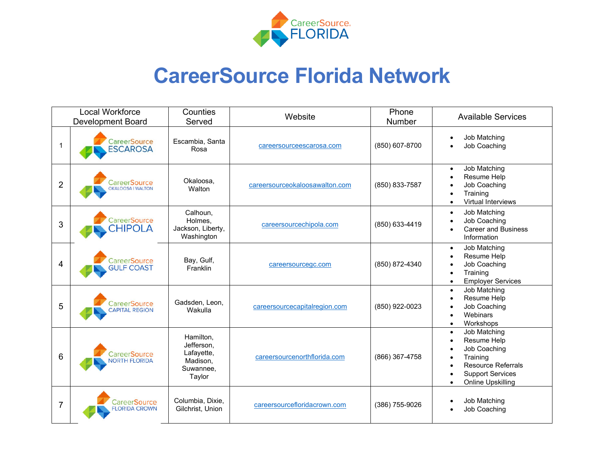

## **CareerSource Florida Network**

| <b>Local Workforce</b><br><b>Development Board</b> |                                                 | Counties<br>Served                                                       | Website                        | Phone<br>Number | <b>Available Services</b>                                                                                                                         |
|----------------------------------------------------|-------------------------------------------------|--------------------------------------------------------------------------|--------------------------------|-----------------|---------------------------------------------------------------------------------------------------------------------------------------------------|
| 1                                                  | CareerSource<br><b>ESCAROSA</b>                 | Escambia, Santa<br>Rosa                                                  | careersourceescarosa.com       | (850) 607-8700  | Job Matching<br>$\bullet$<br><b>Job Coaching</b>                                                                                                  |
| $\overline{2}$                                     | <b>CareerSource</b><br><b>OKALOOSA I WALTON</b> | Okaloosa,<br>Walton                                                      | careersourceokaloosawalton.com | (850) 833-7587  | Job Matching<br>$\bullet$<br>Resume Help<br><b>Job Coaching</b><br>Training<br>Virtual Interviews<br>$\bullet$                                    |
| 3                                                  | <b>CareerSource</b><br><b>CHIPOLA</b>           | Calhoun,<br>Holmes,<br>Jackson, Liberty,<br>Washington                   | careersourcechipola.com        | (850) 633-4419  | Job Matching<br>$\bullet$<br>Job Coaching<br><b>Career and Business</b><br>Information                                                            |
| 4                                                  | CareerSource<br><b>GULF COAST</b>               | Bay, Gulf,<br>Franklin                                                   | careersourcegc.com             | (850) 872-4340  | Job Matching<br>$\bullet$<br>Resume Help<br>$\bullet$<br><b>Job Coaching</b><br>Training<br><b>Employer Services</b>                              |
| 5                                                  | CareerSource<br><b>CAPITAL REGION</b>           | Gadsden, Leon,<br>Wakulla                                                | careersourcecapitalregion.com  | (850) 922-0023  | Job Matching<br>$\bullet$<br>Resume Help<br><b>Job Coaching</b><br>Webinars<br>Workshops<br>$\bullet$                                             |
| 6                                                  | CareerSource<br><b>VORTH FLORIDA</b>            | Hamilton,<br>Jefferson,<br>Lafayette,<br>Madison,<br>Suwannee,<br>Taylor | careersourcenorthflorida.com   | (866) 367-4758  | Job Matching<br>$\bullet$<br>Resume Help<br>Job Coaching<br>Training<br><b>Resource Referrals</b><br><b>Support Services</b><br>Online Upskilling |
| 7                                                  | CareerSource<br><b>FLORIDA CROWN</b>            | Columbia, Dixie,<br>Gilchrist, Union                                     | careersourcefloridacrown.com   | (386) 755-9026  | Job Matching<br>Job Coaching                                                                                                                      |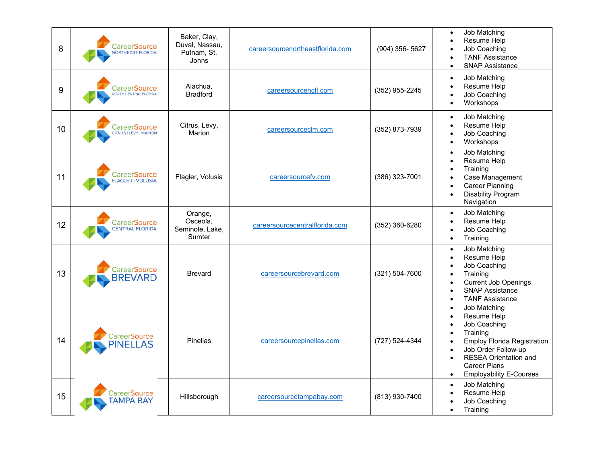| 8  | <b>CareerSource</b><br>NORTHEAST FLORIDA            | Baker, Clay,<br>Duval, Nassau,<br>Putnam, St.<br>Johns | careersourcenortheastflorida.com | (904) 356-5627 | Job Matching<br>$\bullet$<br>Resume Help<br>Job Coaching<br><b>TANF Assistance</b><br><b>SNAP Assistance</b><br>$\bullet$                                                                                                                            |
|----|-----------------------------------------------------|--------------------------------------------------------|----------------------------------|----------------|------------------------------------------------------------------------------------------------------------------------------------------------------------------------------------------------------------------------------------------------------|
| 9  | <b>CareerSource</b><br><b>NORTH CENTRAL FLORIDA</b> | Alachua,<br><b>Bradford</b>                            | careersourcencfl.com             | (352) 955-2245 | Job Matching<br>$\bullet$<br>Resume Help<br>Job Coaching<br>Workshops<br>$\bullet$                                                                                                                                                                   |
| 10 | <b>CareerSource</b><br>CITRUS   LEVY   MARION       | Citrus, Levy,<br>Marion                                | careersourceclm.com              | (352) 873-7939 | Job Matching<br>$\bullet$<br>Resume Help<br>$\bullet$<br>Job Coaching<br>Workshops<br>$\bullet$                                                                                                                                                      |
| 11 | CareerSource<br><b>FLAGLER I VOLUSIA</b>            | Flagler, Volusia                                       | careersourcefv.com               | (386) 323-7001 | Job Matching<br>$\bullet$<br>Resume Help<br>$\bullet$<br>Training<br>Case Management<br><b>Career Planning</b><br>$\bullet$<br><b>Disability Program</b><br>Navigation                                                                               |
| 12 | <b>CareerSource</b><br><b>CENTRAL FLORIDA</b>       | Orange,<br>Osceola,<br>Seminole, Lake,<br>Sumter       | careersourcecentralflorida.com   | (352) 360-6280 | Job Matching<br>$\bullet$<br>Resume Help<br>Job Coaching<br>Training<br>$\bullet$                                                                                                                                                                    |
| 13 | <b>CareerSource</b><br><b>BREVARD</b>               | <b>Brevard</b>                                         | careersourcebrevard.com          | (321) 504-7600 | Job Matching<br>$\bullet$<br>Resume Help<br>Job Coaching<br>Training<br><b>Current Job Openings</b><br><b>SNAP Assistance</b><br>$\bullet$<br><b>TANF Assistance</b><br>$\bullet$                                                                    |
| 14 | CareerSource<br><b>PINELLAS</b>                     | Pinellas                                               | careersourcepinellas.com         | (727) 524-4344 | Job Matching<br>$\bullet$<br>Resume Help<br>Job Coaching<br>Training<br><b>Employ Florida Registration</b><br>Job Order Follow-up<br>$\bullet$<br><b>RESEA Orientation and</b><br><b>Career Plans</b><br><b>Employability E-Courses</b><br>$\bullet$ |
| 15 | CareerSource<br><b>TAMPA BAY</b>                    | Hillsborough                                           | careersourcetampabay.com         | (813) 930-7400 | Job Matching<br>$\bullet$<br>Resume Help<br>Job Coaching<br>Training<br>$\bullet$                                                                                                                                                                    |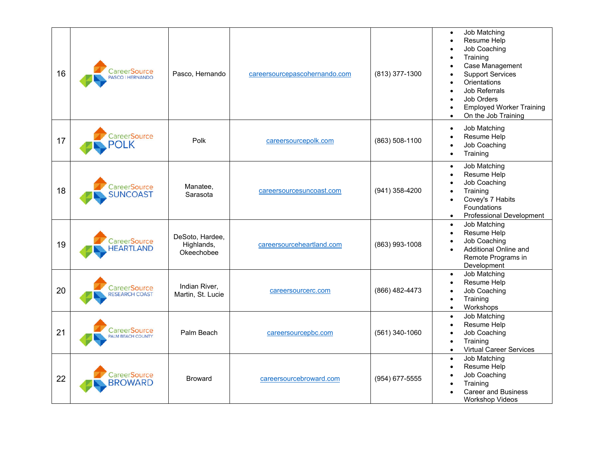| 16 | <b>CareerSource</b><br>PASCO   HERNANDO | Pasco, Hernando                             | careersourcepascohernando.com | (813) 377-1300   | Job Matching<br>$\bullet$<br>Resume Help<br>Job Coaching<br>Training<br>Case Management<br><b>Support Services</b><br>Orientations<br>Job Referrals<br>Job Orders<br><b>Employed Worker Training</b><br>On the Job Training<br>$\bullet$ |
|----|-----------------------------------------|---------------------------------------------|-------------------------------|------------------|------------------------------------------------------------------------------------------------------------------------------------------------------------------------------------------------------------------------------------------|
| 17 | CareerSource<br><b>OLK</b>              | Polk                                        | careersourcepolk.com          | (863) 508-1100   | Job Matching<br>$\bullet$<br>Resume Help<br>Job Coaching<br>Training<br>$\bullet$                                                                                                                                                        |
| 18 | CareerSource<br><b>SUNCOAST</b>         | Manatee,<br>Sarasota                        | careersourcesuncoast.com      | (941) 358-4200   | Job Matching<br>$\bullet$<br>Resume Help<br>Job Coaching<br>Training<br>Covey's 7 Habits<br>Foundations<br>Professional Development<br>$\bullet$                                                                                         |
| 19 | CareerSource<br><b>HEARTLAND</b>        | DeSoto, Hardee,<br>Highlands,<br>Okeechobee | careersourceheartland.com     | (863) 993-1008   | Job Matching<br>$\bullet$<br>Resume Help<br>$\bullet$<br>Job Coaching<br>Additional Online and<br>Remote Programs in<br>Development                                                                                                      |
| 20 | CareerSource<br><b>RESEARCH COAST</b>   | Indian River,<br>Martin, St. Lucie          | careersourcerc.com            | (866) 482-4473   | Job Matching<br>$\bullet$<br>Resume Help<br>$\bullet$<br>Job Coaching<br>Training<br>$\bullet$<br>Workshops<br>$\bullet$                                                                                                                 |
| 21 | CareerSource<br>PALM BEACH COUNTY       | Palm Beach                                  | careersourcepbc.com           | $(561)$ 340-1060 | Job Matching<br>$\bullet$<br>Resume Help<br>$\bullet$<br>Job Coaching<br>Training<br>$\bullet$<br><b>Virtual Career Services</b><br>$\bullet$                                                                                            |
| 22 | <b>CareerSource</b><br><b>BROWARD</b>   | <b>Broward</b>                              | careersourcebroward.com       | (954) 677-5555   | Job Matching<br>$\bullet$<br>Resume Help<br>Job Coaching<br>Training<br>$\bullet$<br><b>Career and Business</b><br><b>Workshop Videos</b>                                                                                                |